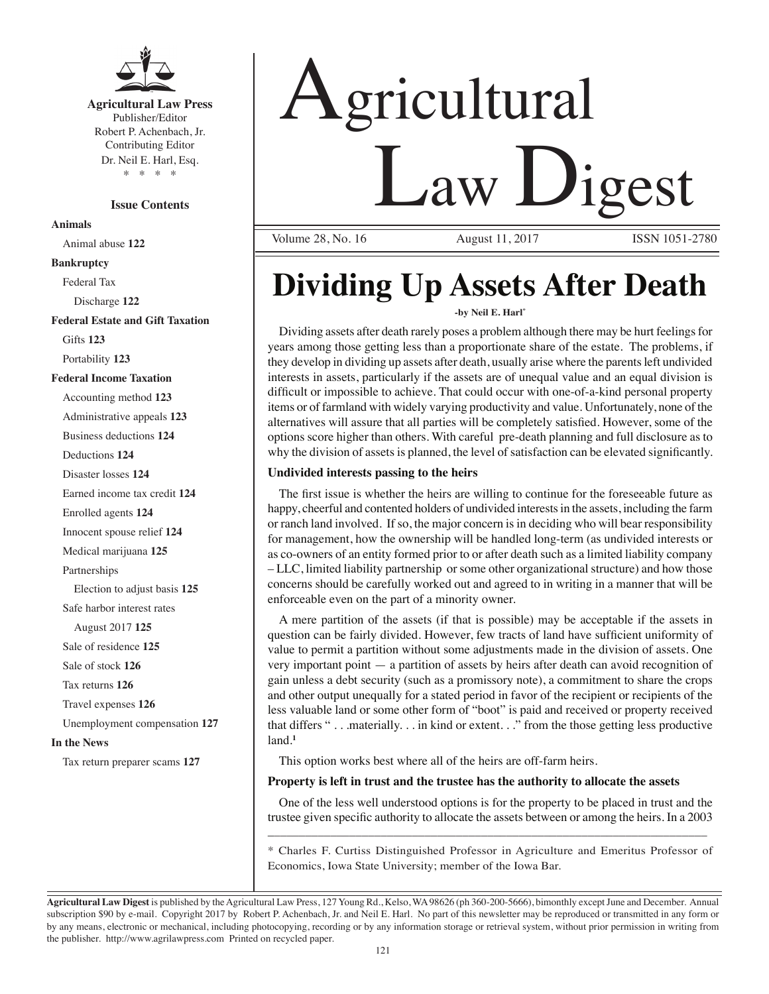

**Agricultural Law Press** Publisher/Editor Robert P. Achenbach, Jr. Contributing Editor Dr. Neil E. Harl, Esq. \* \* \* \*

**Issue Contents Animals** Animal abuse **122 Bankruptcy** Federal Tax Discharge **122 Federal Estate and Gift Taxation** Gifts **123** Portability **123 Federal Income Taxation** Accounting method **123** Administrative appeals **123** Business deductions **124** Deductions **124** Disaster losses **124** Earned income tax credit **124** Enrolled agents **124** Innocent spouse relief **124** Medical marijuana **125** Partnerships Election to adjust basis **125** Safe harbor interest rates August 2017 **125** Sale of residence **125** Sale of stock **126** Tax returns **126** Travel expenses **126** Unemployment compensation **127 In the News** Tax return preparer scams **127**

# Agricultural Law Digest

Volume 28, No. 16 August 11, 2017 ISSN 1051-2780

## **Dividing Up Assets After Death**

#### **-by Neil E. Harl\***

Dividing assets after death rarely poses a problem although there may be hurt feelings for years among those getting less than a proportionate share of the estate. The problems, if they develop in dividing up assets after death, usually arise where the parents left undivided interests in assets, particularly if the assets are of unequal value and an equal division is difficult or impossible to achieve. That could occur with one-of-a-kind personal property items or of farmland with widely varying productivity and value. Unfortunately, none of the alternatives will assure that all parties will be completely satisfied. However, some of the options score higher than others. With careful pre-death planning and full disclosure as to why the division of assets is planned, the level of satisfaction can be elevated significantly.

#### **Undivided interests passing to the heirs**

The first issue is whether the heirs are willing to continue for the foreseeable future as happy, cheerful and contented holders of undivided interests in the assets, including the farm or ranch land involved. If so, the major concern is in deciding who will bear responsibility for management, how the ownership will be handled long-term (as undivided interests or as co-owners of an entity formed prior to or after death such as a limited liability company – LLC, limited liability partnership or some other organizational structure) and how those concerns should be carefully worked out and agreed to in writing in a manner that will be enforceable even on the part of a minority owner.

A mere partition of the assets (if that is possible) may be acceptable if the assets in question can be fairly divided. However, few tracts of land have sufficient uniformity of value to permit a partition without some adjustments made in the division of assets. One very important point — a partition of assets by heirs after death can avoid recognition of gain unless a debt security (such as a promissory note), a commitment to share the crops and other output unequally for a stated period in favor of the recipient or recipients of the less valuable land or some other form of "boot" is paid and received or property received that differs " . . .materially. . . in kind or extent. . ." from the those getting less productive land.**<sup>1</sup>**

This option works best where all of the heirs are off-farm heirs.

#### **Property is left in trust and the trustee has the authority to allocate the assets**

One of the less well understood options is for the property to be placed in trust and the trustee given specific authority to allocate the assets between or among the heirs. In a 2003 \_\_\_\_\_\_\_\_\_\_\_\_\_\_\_\_\_\_\_\_\_\_\_\_\_\_\_\_\_\_\_\_\_\_\_\_\_\_\_\_\_\_\_\_\_\_\_\_\_\_\_\_\_\_\_\_\_\_\_\_\_\_\_\_\_\_\_\_\_\_

\* Charles F. Curtiss Distinguished Professor in Agriculture and Emeritus Professor of Economics, Iowa State University; member of the Iowa Bar.

**Agricultural Law Digest** is published by the Agricultural Law Press, 127 Young Rd., Kelso, WA 98626 (ph 360-200-5666), bimonthly except June and December. Annual subscription \$90 by e-mail. Copyright 2017 by Robert P. Achenbach, Jr. and Neil E. Harl. No part of this newsletter may be reproduced or transmitted in any form or by any means, electronic or mechanical, including photocopying, recording or by any information storage or retrieval system, without prior permission in writing from the publisher. http://www.agrilawpress.com Printed on recycled paper.